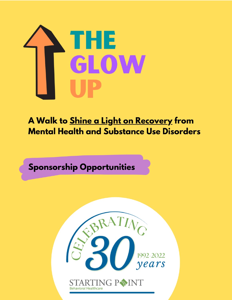

# A Walk to Shine a Light on Recovery from **Mental Health and Substance Use Disorders**

**Sponsorship Opportunities** 

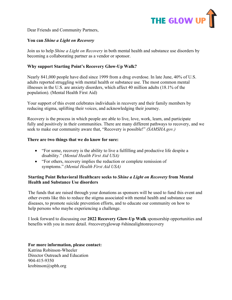

Dear Friends and Community Partners,

# **You can** *Shine a Light on Recovery*

Join us to help *Shine a Light on Recovery* in both mental health and substance use disorders by becoming a collaborating partner as a vendor or sponsor.

# **Why support Starting Point's Recovery Glow-Up Walk?**

Nearly 841,000 people have died since 1999 from a drug overdose. In late June, 40% of U.S. adults reported struggling with mental health or substance use. The most common mental illnesses in the U.S. are anxiety disorders, which affect 40 million adults (18.1% of the population). (Mental Health First Aid)

Your support of this event celebrates individuals in recovery and their family members by reducing stigma, uplifting their voices, and acknowledging their journey.

Recovery is the process in which people are able to live, love, work, learn, and participate fully and positively in their communities. There are many different pathways to recovery, and we seek to make our community aware that, "Recovery is possible!" *(SAMSHA.gov.)*

#### **There are two things that we do know for sure:**

- "For some, recovery is the ability to live a fulfilling and productive life despite a disability." *(Mental Health First Aid USA)*
- "For others, recovery implies the reduction or complete remission of symptoms." *(Mental Health First Aid USA)*

# **Starting Point Behavioral Healthcare seeks to** *Shine a Light on Recovery* **from Mental Health and Substance Use disorders**

The funds that are raised through your donations as sponsors will be used to fund this event and other events like this to reduce the stigma associated with mental health and substance use diseases, to promote suicide prevention efforts, and to educate our community on how to help persons who maybe experiencing a challenge.

I look forward to discussing our **2022 Recovery Glow-Up Walk** sponsorship opportunities and benefits with you in more detail. #recoveryglowup #shinealightonrecovery

**For more information, please contact:** Katrina Robinson-Wheeler Director Outreach and Education 904-415-9350 krobinson@spbh.org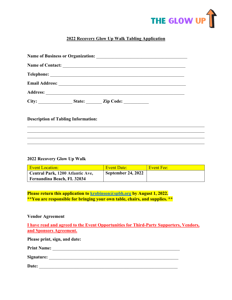

# **2022 Recovery Glow Up Walk Tabling Application**

|       |  | Name of Contact:         |  |
|-------|--|--------------------------|--|
|       |  |                          |  |
|       |  |                          |  |
|       |  | Address: <u>Address:</u> |  |
| City: |  | State: <i>Zip Code:</i>  |  |
|       |  |                          |  |

#### **Description of Tabling Information:**

#### **2022 Recovery Glow Up Walk**

| <b>Event Location:</b>           | Event Date:               | <b>Event Fee:</b> |
|----------------------------------|---------------------------|-------------------|
| Central Park, 1200 Atlantic Ave, | <b>September 24, 2022</b> |                   |
| Fernandina Beach, FL 32034       |                           |                   |

**Please return this application to krobinson@spbh.org by August 1, 2022. \*\*You are responsible for bringing your own table, chairs, and supplies. \*\***

#### **Vendor Agreement**

**I have read and agreed to the Event Opportunities for Third-Party Supporters, Vendors, and Sponsors Agreement.**

**Please print, sign, and date: Print Name:** \_\_\_\_\_\_\_\_\_\_\_\_\_\_\_\_\_\_\_\_\_\_\_\_\_\_\_\_\_\_\_\_\_\_\_\_\_\_\_\_\_\_\_\_\_\_\_\_\_\_\_\_\_\_\_\_ **Signature:** \_\_\_\_\_\_\_\_\_\_\_\_\_\_\_\_\_\_\_\_\_\_\_\_\_\_\_\_\_\_\_\_\_\_\_\_\_\_\_\_\_\_\_\_\_\_\_\_\_\_\_\_\_\_\_\_\_ **Date:**  $\blacksquare$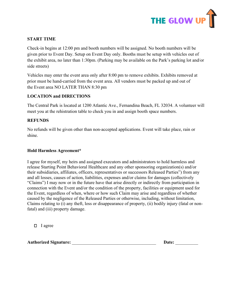

# **START TIME**

Check-in begins at 12:00 pm and booth numbers will be assigned. No booth numbers will be given prior to Event Day. Setup on Event Day only. Booths must be setup with vehicles out of the exhibit area, no later than 1:30pm. (Parking may be available on the Park's parking lot and/or side streets)

Vehicles may enter the event area only after 8:00 pm to remove exhibits. Exhibits removed at prior must be hand-carried from the event area. All vendors must be packed up and out of the Event area NO LATER THAN 8:30 pm

# **LOCATION and DIRECTIONS**

The Central Park is located at 1200 Atlantic Ave., Fernandina Beach, FL 32034. A volunteer will meet you at the rehistration table to check you in and assign booth space numbers.

### **REFUNDS**

No refunds will be given other than non-accepted applications. Event will take place, rain or shine.

#### **Hold Harmless Agreement\***

I agree for myself, my heirs and assigned executors and administrators to hold harmless and release Starting Point Behavioral Healthcare and any other sponsoring organization(s) and/or their subsidiaries, affiliates, officers, representatives or successors Released Parties") from any and all losses, causes of action, liabilities, expenses and/or claims for damages (collectively "Claims") I may now or in the future have that arise directly or indirectly from participation in connection with the Event and/or the condition of the property, facilities or equipment used for the Event, regardless of when, where or how such Claim may arise and regardless of whether caused by the negligence of the Released Parties or otherwise, including, without limitation, Claims relating to (i) any theft, loss or disappearance of property, (ii) bodily injury (fatal or nonfatal) and (iii) property damage.

I agree

Authorized Signature: **Date: Date: Date: Date: Date: Date: Date: Date: Date: Date: Date: Date: Date: Date: Date: Date: Date: Date: Date: Date: Date: Date: Date: Date: Date:**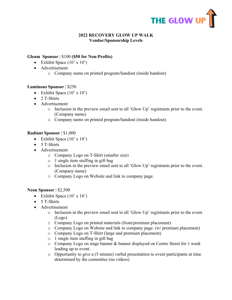

# **2022 RECOVERY GLOW UP WALK Vendor/Sponsorship Levels**

# **Gleam Sponsor** | \$100 **(\$50 for Non-Profits)**

- Exhibit Space  $(10' \times 10')$
- Advertisement
	- o Company name on printed program/handout (inside handout)

#### **Luminous Sponsor** | \$250

- Exhibit Space  $(10' \times 10')$
- 2 T-Shirts
- Advertisement
	- $\circ$  Inclusion in the preview email sent to all 'Glow Up' registrants prior to the event. (Company name)
	- o Company name on printed program/handout (inside handout)

#### **Radiant Sponsor** | \$1,000

- Exhibit Space  $(10' \times 10')$
- 5 T-Shirts
- Advertisement
	- o Company Logo on T-Shirt (smaller size)
	- o 1 single item stuffing in gift bag
	- o Inclusion in the preview email sent to all 'Glow Up' registrants prior to the event. (Company name)
	- o Company Logo on Website and link to company page.

#### **Neon Sponsor** | \$2,500

- Exhibit Space  $(10' \times 10')$
- 5 T-Shirts
- Advertisement
	- o Inclusion in the preview email sent to all 'Glow Up' registrants prior to the event. (Logo)
	- o Company Logo on printed materials (front/premium placement)
	- o Company Logo on Website and link to company page. (w/ premium placement)
	- o Company Logo on T-Shirt (large and premium placement)
	- o 1 single item stuffing in gift bag
	- o Company Logo on stage banner & banner displayed on Centre Street for 1 week leading up to event.
	- o Opportunity to give a (5 minute) verbal presentation to event participants at time determined by the committee (no videos)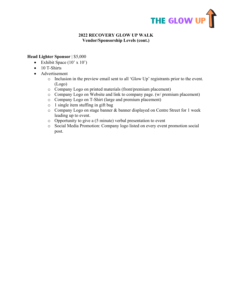

# **2022 RECOVERY GLOW UP WALK Vendor/Sponsorship Levels (cont.)**

# **Head Lighter Sponsor** | \$5,000

- Exhibit Space  $(10' \times 10')$
- $\bullet$  10 T-Shirts
- Advertisement
	- o Inclusion in the preview email sent to all 'Glow Up' registrants prior to the event. (Logo)
	- o Company Logo on printed materials (front/premium placement)
	- o Company Logo on Website and link to company page. (w/ premium placement)
	- o Company Logo on T-Shirt (large and premium placement)
	- o 1 single item stuffing in gift bag
	- o Company Logo on stage banner & banner displayed on Centre Street for 1 week leading up to event.
	- o Opportunity to give a (5 minute) verbal presentation to event
	- o Social Media Promotion: Company logo listed on every event promotion social post.